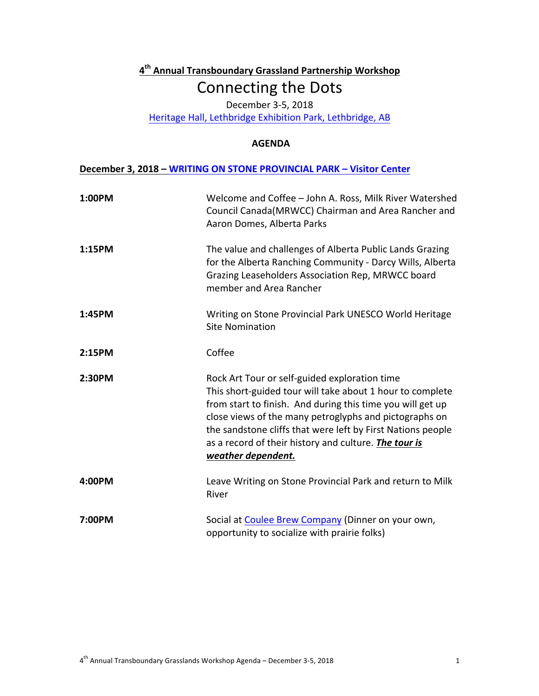## **4th Annual Transboundary Grassland Partnership Workshop** Connecting the Dots

December 3-5, 2018

Heritage Hall, Lethbridge Exhibition Park, Lethbridge, AB

## **AGENDA**

## **December 3, 2018 - WRITING ON STONE PROVINCIAL PARK - Visitor Center**

| 1:00PM | Welcome and Coffee - John A. Ross, Milk River Watershed<br>Council Canada(MRWCC) Chairman and Area Rancher and<br>Aaron Domes, Alberta Parks                                                                                                                                                                                                                                            |
|--------|-----------------------------------------------------------------------------------------------------------------------------------------------------------------------------------------------------------------------------------------------------------------------------------------------------------------------------------------------------------------------------------------|
| 1:15PM | The value and challenges of Alberta Public Lands Grazing<br>for the Alberta Ranching Community - Darcy Wills, Alberta<br>Grazing Leaseholders Association Rep, MRWCC board<br>member and Area Rancher                                                                                                                                                                                   |
| 1:45PM | Writing on Stone Provincial Park UNESCO World Heritage<br><b>Site Nomination</b>                                                                                                                                                                                                                                                                                                        |
| 2:15PM | Coffee                                                                                                                                                                                                                                                                                                                                                                                  |
| 2:30PM | Rock Art Tour or self-guided exploration time<br>This short-guided tour will take about 1 hour to complete<br>from start to finish. And during this time you will get up<br>close views of the many petroglyphs and pictographs on<br>the sandstone cliffs that were left by First Nations people<br>as a record of their history and culture. <b>The tour is</b><br>weather dependent. |
| 4:00PM | Leave Writing on Stone Provincial Park and return to Milk<br>River                                                                                                                                                                                                                                                                                                                      |
| 7:00PM | Social at Coulee Brew Company (Dinner on your own,<br>opportunity to socialize with prairie folks)                                                                                                                                                                                                                                                                                      |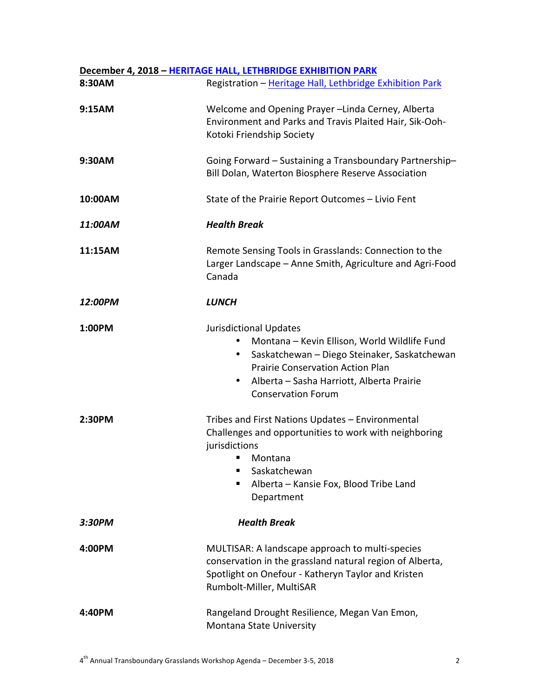## **December 4, 2018 - HERITAGE HALL, LETHBRIDGE EXHIBITION PARK** 8:30AM Registration – Heritage Hall, Lethbridge Exhibition Park **9:15AM** Welcome and Opening Prayer –Linda Cerney, Alberta Environment and Parks and Travis Plaited Hair, Sik-Ooh-Kotoki Friendship Society **9:30AM** Going Forward – Sustaining a Transboundary Partnership– Bill Dolan, Waterton Biosphere Reserve Association **10:00AM** State of the Prairie Report Outcomes – Livio Fent *11:00AM Health Break* **11:15AM** Remote Sensing Tools in Grasslands: Connection to the Larger Landscape – Anne Smith, Agriculture and Agri-Food Canada *12:00PM LUNCH* **1:00PM** Jurisdictional Updates • Montana – Kevin Ellison, World Wildlife Fund • Saskatchewan – Diego Steinaker, Saskatchewan Prairie Conservation Action Plan • Alberta – Sasha Harriott, Alberta Prairie Conservation Forum **2:30PM** Tribes and First Nations Updates – Environmental Challenges and opportunities to work with neighboring jurisdictions ■ Montana § Saskatchewan ■ Alberta – Kansie Fox, Blood Tribe Land Department *3:30PM Health Break* **4:00PM** MULTISAR: A landscape approach to multi-species conservation in the grassland natural region of Alberta, Spotlight on Onefour - Katheryn Taylor and Kristen Rumbolt-Miller, MultiSAR **4:40PM** Rangeland Drought Resilience, Megan Van Emon, Montana State University